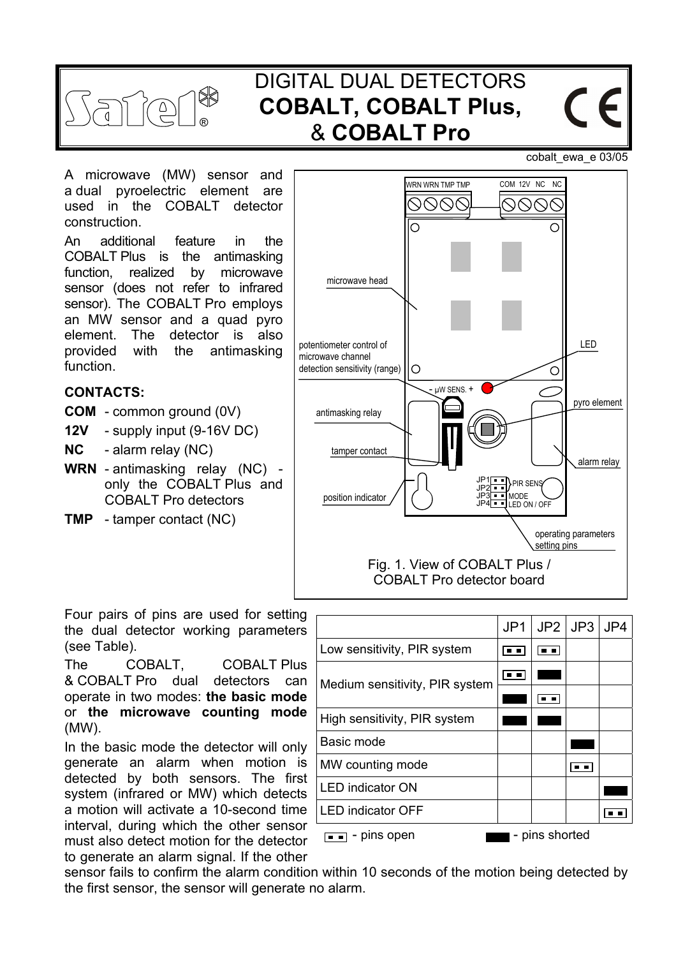

# DIGITAL DUAL DETECTORS **COBALT, COBALT Plus,**  & **COBALT Pro**

cobalt\_ewa\_e 03/05

 $\epsilon$ 

A microwave (MW) sensor and a dual pyroelectric element are used in the COBALT detector construction.

An additional feature in the COBALT Plus is the antimasking function, realized by microwave sensor (does not refer to infrared sensor). The COBALT Pro employs an MW sensor and a quad pyro element. The detector is also provided with the antimasking function.

#### **CONTACTS:**

- **COM** common ground (0V)
- **12V** supply input (9-16V DC)
- **NC** alarm relay (NC)
- **WRN**  antimasking relay (NC) only the COBALT Plus and COBALT Pro detectors
- **TMP** tamper contact (NC)



Four pairs of pins are used for setting the dual detector working parameters (see Table).

The COBALT, COBALT Plus & COBALT Pro dual detectors can operate in two modes: **the basic mode** or **the microwave counting mode** (MW).

In the basic mode the detector will only generate an alarm when motion is detected by both sensors. The first system (infrared or MW) which detects a motion will activate a 10-second time interval, during which the other sensor must also detect motion for the detector to generate an alarm signal. If the other

|                                | JP <sub>1</sub> |                | $JP2$   JP3 | JP4 |
|--------------------------------|-----------------|----------------|-------------|-----|
| Low sensitivity, PIR system    | . .             | $\blacksquare$ |             |     |
| Medium sensitivity, PIR system |                 |                |             |     |
|                                |                 |                |             |     |
| High sensitivity, PIR system   |                 |                |             |     |
| Basic mode                     |                 |                |             |     |
| MW counting mode               |                 |                |             |     |
| <b>LED</b> indicator ON        |                 |                |             |     |
| <b>LED indicator OFF</b>       |                 |                |             |     |
| - pins shorted<br>- pins open  |                 |                |             |     |

sensor fails to confirm the alarm condition within 10 seconds of the motion being detected by the first sensor, the sensor will generate no alarm.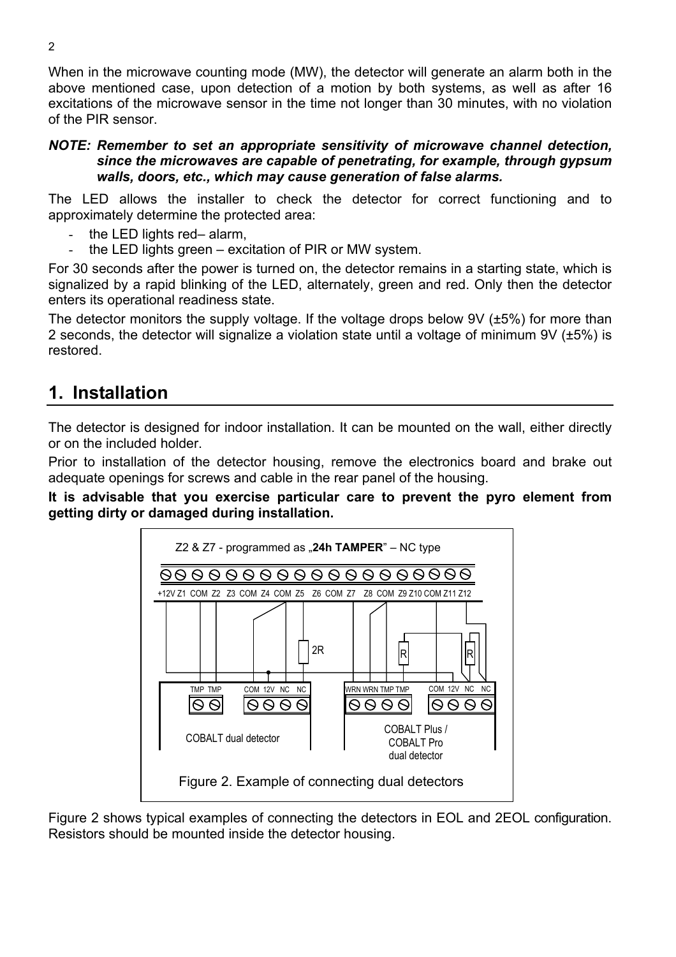When in the microwave counting mode (MW), the detector will generate an alarm both in the above mentioned case, upon detection of a motion by both systems, as well as after 16 excitations of the microwave sensor in the time not longer than 30 minutes, with no violation of the PIR sensor.

#### *NOTE: Remember to set an appropriate sensitivity of microwave channel detection, since the microwaves are capable of penetrating, for example, through gypsum walls, doors, etc., which may cause generation of false alarms.*

The LED allows the installer to check the detector for correct functioning and to approximately determine the protected area:

- the LED lights red– alarm,
- the LED lights green excitation of PIR or MW system.

For 30 seconds after the power is turned on, the detector remains in a starting state, which is signalized by a rapid blinking of the LED, alternately, green and red. Only then the detector enters its operational readiness state.

The detector monitors the supply voltage. If the voltage drops below 9V ( $\pm$ 5%) for more than 2 seconds, the detector will signalize a violation state until a voltage of minimum 9V (±5%) is restored.

#### **1. Installation**

The detector is designed for indoor installation. It can be mounted on the wall, either directly or on the included holder.

Prior to installation of the detector housing, remove the electronics board and brake out adequate openings for screws and cable in the rear panel of the housing.

**It is advisable that you exercise particular care to prevent the pyro element from getting dirty or damaged during installation.** 



Figure 2 shows typical examples of connecting the detectors in EOL and 2EOL configuration. Resistors should be mounted inside the detector housing.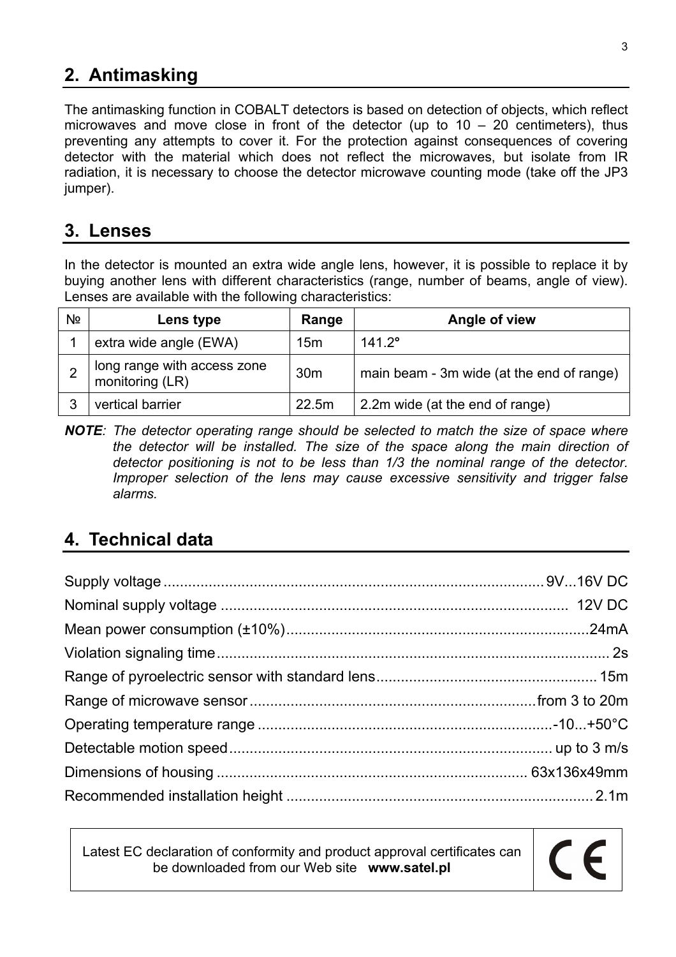## **2. Antimasking**

The antimasking function in COBALT detectors is based on detection of objects, which reflect microwaves and move close in front of the detector (up to  $10 - 20$  centimeters), thus preventing any attempts to cover it. For the protection against consequences of covering detector with the material which does not reflect the microwaves, but isolate from IR radiation, it is necessary to choose the detector microwave counting mode (take off the JP3 jumper).

#### **3. Lenses**

In the detector is mounted an extra wide angle lens, however, it is possible to replace it by buying another lens with different characteristics (range, number of beams, angle of view). Lenses are available with the following characteristics:

| Nº | Lens type                                      | Range           | Angle of view                             |
|----|------------------------------------------------|-----------------|-------------------------------------------|
|    | extra wide angle (EWA)                         | 15 <sub>m</sub> | $141.2^{\circ}$                           |
|    | long range with access zone<br>monitoring (LR) | 30 <sub>m</sub> | main beam - 3m wide (at the end of range) |
| ?  | vertical barrier                               | 22.5m           | 2.2m wide (at the end of range)           |

*NOTE: The detector operating range should be selected to match the size of space where the detector will be installed. The size of the space along the main direction of detector positioning is not to be less than 1/3 the nominal range of the detector. Improper selection of the lens may cause excessive sensitivity and trigger false alarms.* 

### **4. Technical data**

Latest EC declaration of conformity and product approval certificates can be downloaded from our Web site **www.satel.pl**